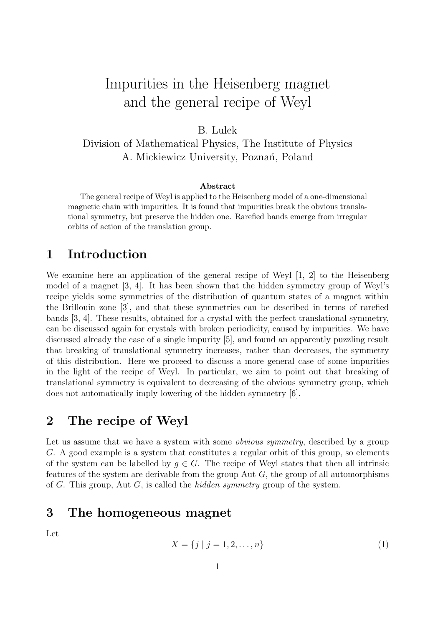# Impurities in the Heisenberg magnet and the general recipe of Weyl

B. Lulek Division of Mathematical Physics, The Institute of Physics A. Mickiewicz University, Poznań, Poland

#### Abstract

The general recipe of Weyl is applied to the Heisenberg model of a one-dimensional magnetic chain with impurities. It is found that impurities break the obvious translational symmetry, but preserve the hidden one. Rarefied bands emerge from irregular orbits of action of the translation group.

#### 1 Introduction

We examine here an application of the general recipe of Weyl [1, 2] to the Heisenberg model of a magnet [3, 4]. It has been shown that the hidden symmetry group of Weyl's recipe yields some symmetries of the distribution of quantum states of a magnet within the Brillouin zone [3], and that these symmetries can be described in terms of rarefied bands [3, 4]. These results, obtained for a crystal with the perfect translational symmetry, can be discussed again for crystals with broken periodicity, caused by impurities. We have discussed already the case of a single impurity [5], and found an apparently puzzling result that breaking of translational symmetry increases, rather than decreases, the symmetry of this distribution. Here we proceed to discuss a more general case of some impurities in the light of the recipe of Weyl. In particular, we aim to point out that breaking of translational symmetry is equivalent to decreasing of the obvious symmetry group, which does not automatically imply lowering of the hidden symmetry [6].

#### 2 The recipe of Weyl

Let us assume that we have a system with some *obvious symmetry*, described by a group G. A good example is a system that constitutes a regular orbit of this group, so elements of the system can be labelled by  $g \in G$ . The recipe of Weyl states that then all intrinsic features of the system are derivable from the group Aut  $G$ , the group of all automorphisms of G. This group, Aut G, is called the hidden symmetry group of the system.

#### 3 The homogeneous magnet

Let

$$
X = \{j \mid j = 1, 2, \dots, n\}
$$
 (1)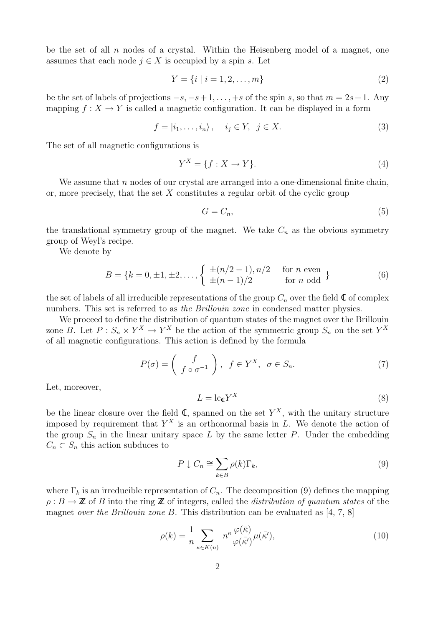be the set of all  $n$  nodes of a crystal. Within the Heisenberg model of a magnet, one assumes that each node  $j \in X$  is occupied by a spin s. Let

$$
Y = \{i \mid i = 1, 2, \dots, m\}
$$
 (2)

be the set of labels of projections  $-s$ ,  $-s+1$ , ...,  $+s$  of the spin s, so that  $m = 2s+1$ . Any mapping  $f: X \to Y$  is called a magnetic configuration. It can be displayed in a form

$$
f = |i_1, \dots, i_n\rangle, \quad i_j \in Y, \ j \in X. \tag{3}
$$

The set of all magnetic configurations is

$$
Y^X = \{f : X \to Y\}.\tag{4}
$$

We assume that  $n$  nodes of our crystal are arranged into a one-dimensional finite chain, or, more precisely, that the set  $X$  constitutes a regular orbit of the cyclic group

$$
G = C_n,\tag{5}
$$

the translational symmetry group of the magnet. We take  $C_n$  as the obvious symmetry group of Weyl's recipe.

We denote by

$$
B = \{k = 0, \pm 1, \pm 2, \dots, \begin{cases} \pm (n/2 - 1), n/2 & \text{for } n \text{ even} \\ \pm (n - 1)/2 & \text{for } n \text{ odd} \end{cases} \}
$$
(6)

the set of labels of all irreducible representations of the group  $C_n$  over the field  $\mathbb C$  of complex numbers. This set is referred to as the Brillouin zone in condensed matter physics.

We proceed to define the distribution of quantum states of the magnet over the Brillouin zone B. Let  $P: S_n \times Y^X \to Y^X$  be the action of the symmetric group  $S_n$  on the set  $Y^X$ of all magnetic configurations. This action is defined by the formula

$$
P(\sigma) = \begin{pmatrix} f \\ f \circ \sigma^{-1} \end{pmatrix}, \ f \in Y^X, \ \sigma \in S_n. \tag{7}
$$

Let, moreover,

$$
L = \operatorname{lc}_{\mathbb{Q}} Y^X \tag{8}
$$

be the linear closure over the field  $\mathbb{C}$ , spanned on the set  $Y^X$ , with the unitary structure imposed by requirement that  $Y^X$  is an orthonormal basis in L. We denote the action of the group  $S_n$  in the linear unitary space L by the same letter P. Under the embedding  $C_n \subset S_n$  this action subduces to

$$
P \downarrow C_n \cong \sum_{k \in B} \rho(k) \Gamma_k,\tag{9}
$$

where  $\Gamma_k$  is an irreducible representation of  $C_n$ . The decomposition (9) defines the mapping  $\rho: B \to \mathbb{Z}$  of B into the ring  $\mathbb{Z}$  of integers, called the *distribution of quantum states* of the magnet over the Brillouin zone B. This distribution can be evaluated as  $[4, 7, 8]$ 

$$
\rho(k) = \frac{1}{n} \sum_{\kappa \in K(n)} n^{\kappa} \frac{\varphi(\bar{\kappa})}{\varphi(\bar{\kappa}')} \mu(\bar{\kappa}'),\tag{10}
$$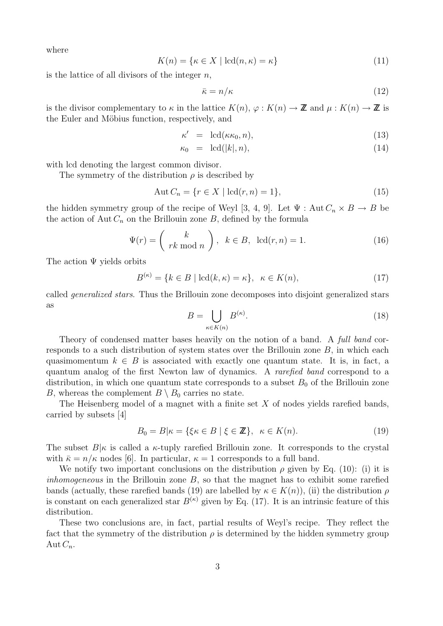where

$$
K(n) = \{ \kappa \in X \mid \mathrm{lcd}(n, \kappa) = \kappa \}
$$
\n(11)

is the lattice of all divisors of the integer  $n$ ,

$$
\bar{\kappa} = n/\kappa \tag{12}
$$

is the divisor complementary to  $\kappa$  in the lattice  $K(n)$ ,  $\varphi: K(n) \to \mathbb{Z}$  and  $\mu: K(n) \to \mathbb{Z}$  is the Euler and Möbius function, respectively, and

$$
\kappa' = \operatorname{lcd}(\kappa \kappa_0, n), \tag{13}
$$

$$
\kappa_0 = \operatorname{lcd}(|k|, n), \tag{14}
$$

with lcd denoting the largest common divisor.

The symmetry of the distribution  $\rho$  is described by

$$
Aut C_n = \{ r \in X \mid \mathrm{lcd}(r, n) = 1 \},\tag{15}
$$

the hidden symmetry group of the recipe of Weyl [3, 4, 9]. Let  $\Psi : \text{Aut}\,C_n \times B \to B$  be the action of Aut  $C_n$  on the Brillouin zone B, defined by the formula

$$
\Psi(r) = \begin{pmatrix} k \\ rk \bmod n \end{pmatrix}, \ k \in B, \ \operatorname{lcd}(r, n) = 1. \tag{16}
$$

The action  $\Psi$  yields orbits

$$
B^{(\kappa)} = \{k \in B \mid \mathrm{lcd}(k, \kappa) = \kappa\}, \ \kappa \in K(n),\tag{17}
$$

called generalized stars. Thus the Brillouin zone decomposes into disjoint generalized stars as

$$
B = \bigcup_{\kappa \in K(n)} B^{(\kappa)}.
$$
\n(18)

Theory of condensed matter bases heavily on the notion of a band. A *full band* corresponds to a such distribution of system states over the Brillouin zone B, in which each quasimomentum  $k \in B$  is associated with exactly one quantum state. It is, in fact, a quantum analog of the first Newton law of dynamics. A rarefied band correspond to a distribution, in which one quantum state corresponds to a subset  $B_0$  of the Brillouin zone B, whereas the complement  $B \setminus B_0$  carries no state.

The Heisenberg model of a magnet with a finite set  $X$  of nodes yields rarefied bands, carried by subsets [4]

$$
B_0 = B|\kappa = \{\xi \kappa \in B \mid \xi \in \mathbb{Z}\}, \ \kappa \in K(n). \tag{19}
$$

The subset  $B|\kappa$  is called a  $\kappa$ -tuply rarefied Brillouin zone. It corresponds to the crystal with  $\bar{\kappa} = n/\kappa$  nodes [6]. In particular,  $\kappa = 1$  corresponds to a full band.

We notify two important conclusions on the distribution  $\rho$  given by Eq. (10): (i) it is inhomogeneous in the Brillouin zone  $B$ , so that the magnet has to exhibit some rarefied bands (actually, these rarefied bands (19) are labelled by  $\kappa \in K(n)$ , (ii) the distribution  $\rho$ is constant on each generalized star  $B^{(\kappa)}$  given by Eq. (17). It is an intrinsic feature of this distribution.

These two conclusions are, in fact, partial results of Weyl's recipe. They reflect the fact that the symmetry of the distribution  $\rho$  is determined by the hidden symmetry group Aut  $C_n$ .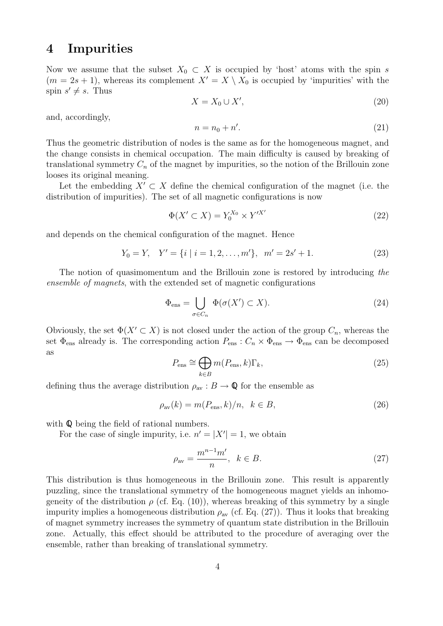#### 4 Impurities

Now we assume that the subset  $X_0 \subset X$  is occupied by 'host' atoms with the spin s  $(m = 2s + 1)$ , whereas its complement  $X' = X \setminus X_0$  is occupied by 'impurities' with the spin  $s' \neq s$ . Thus

$$
X = X_0 \cup X',\tag{20}
$$

and, accordingly,

$$
n = n_0 + n'.\tag{21}
$$

Thus the geometric distribution of nodes is the same as for the homogeneous magnet, and the change consists in chemical occupation. The main difficulty is caused by breaking of translational symmetry  $C_n$  of the magnet by impurities, so the notion of the Brillouin zone looses its original meaning.

Let the embedding  $X' \subset X$  define the chemical configuration of the magnet (i.e. the distribution of impurities). The set of all magnetic configurations is now

$$
\Phi(X' \subset X) = Y_0^{X_0} \times Y'^{X'} \tag{22}
$$

and depends on the chemical configuration of the magnet. Hence

$$
Y_0 = Y, \quad Y' = \{i \mid i = 1, 2, \dots, m'\}, \quad m' = 2s' + 1. \tag{23}
$$

The notion of quasimomentum and the Brillouin zone is restored by introducing the ensemble of magnets, with the extended set of magnetic configurations

$$
\Phi_{\text{ens}} = \bigcup_{\sigma \in C_n} \Phi(\sigma(X') \subset X). \tag{24}
$$

Obviously, the set  $\Phi(X' \subset X)$  is not closed under the action of the group  $C_n$ , whereas the set  $\Phi_{\text{ens}}$  already is. The corresponding action  $P_{\text{ens}}: C_n \times \Phi_{\text{ens}} \to \Phi_{\text{ens}}$  can be decomposed as

$$
P_{\text{ens}} \cong \bigoplus_{k \in B} m(P_{\text{ens}}, k) \Gamma_k,\tag{25}
$$

defining thus the average distribution  $\rho_{av} : B \to \mathbb{Q}$  for the ensemble as

$$
\rho_{\text{av}}(k) = m(P_{\text{ens}}, k)/n, \ \ k \in B,\tag{26}
$$

with  $\mathbb Q$  being the field of rational numbers.

For the case of single impurity, i.e.  $n' = |X'| = 1$ , we obtain

$$
\rho_{\rm av} = \frac{m^{n-1}m'}{n}, \quad k \in B. \tag{27}
$$

This distribution is thus homogeneous in the Brillouin zone. This result is apparently puzzling, since the translational symmetry of the homogeneous magnet yields an inhomogeneity of the distribution  $\rho$  (cf. Eq. (10)), whereas breaking of this symmetry by a single impurity implies a homogeneous distribution  $\rho_{av}$  (cf. Eq. (27)). Thus it looks that breaking of magnet symmetry increases the symmetry of quantum state distribution in the Brillouin zone. Actually, this effect should be attributed to the procedure of averaging over the ensemble, rather than breaking of translational symmetry.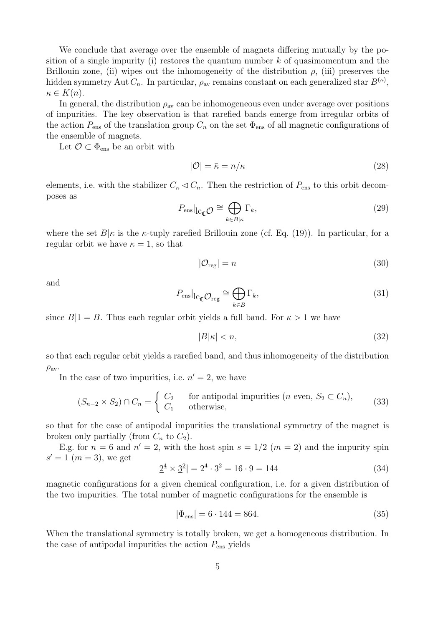We conclude that average over the ensemble of magnets differing mutually by the position of a single impurity (i) restores the quantum number  $k$  of quasimomentum and the Brillouin zone, (ii) wipes out the inhomogeneity of the distribution  $\rho$ , (iii) preserves the hidden symmetry Aut  $C_n$ . In particular,  $\rho_{\text{av}}$  remains constant on each generalized star  $B^{(\kappa)}$ ,  $\kappa \in K(n).$ 

In general, the distribution  $\rho_{av}$  can be inhomogeneous even under average over positions of impurities. The key observation is that rarefied bands emerge from irregular orbits of the action  $P_{\text{ens}}$  of the translation group  $C_n$  on the set  $\Phi_{\text{ens}}$  of all magnetic configurations of the ensemble of magnets.

Let  $\mathcal{O} \subset \Phi_{\text{ens}}$  be an orbit with

$$
|\mathcal{O}| = \bar{\kappa} = n/\kappa \tag{28}
$$

elements, i.e. with the stabilizer  $C_{\kappa} \triangleleft C_n$ . Then the restriction of  $P_{\text{ens}}$  to this orbit decomposes as

$$
P_{\text{ens}}|_{\text{lc}_{\mathbb{Q}}\mathcal{O}} \cong \bigoplus_{k \in B|\kappa} \Gamma_k,\tag{29}
$$

where the set  $B|\kappa$  is the  $\kappa$ -tuply rarefied Brillouin zone (cf. Eq. (19)). In particular, for a regular orbit we have  $\kappa = 1$ , so that

$$
|\mathcal{O}_{\text{reg}}| = n \tag{30}
$$

and

$$
P_{\text{ens}}|_{\text{lc}_{\mathbb{Q}}\mathcal{O}_{\text{reg}}} \cong \bigoplus_{k \in B} \Gamma_k,\tag{31}
$$

since  $B|1 = B$ . Thus each regular orbit yields a full band. For  $\kappa > 1$  we have

$$
|B|\kappa| < n,\tag{32}
$$

so that each regular orbit yields a rarefied band, and thus inhomogeneity of the distribution  $\rho_{\rm av}.$ 

In the case of two impurities, i.e.  $n' = 2$ , we have

$$
(S_{n-2} \times S_2) \cap C_n = \begin{cases} C_2 & \text{for antipodal impurities } (n \text{ even, } S_2 \subset C_n), \\ C_1 & \text{otherwise,} \end{cases} \tag{33}
$$

so that for the case of antipodal impurities the translational symmetry of the magnet is broken only partially (from  $C_n$  to  $C_2$ ).

E.g. for  $n = 6$  and  $n' = 2$ , with the host spin  $s = 1/2$   $(m = 2)$  and the impurity spin  $s' = 1$   $(m = 3)$ , we get

$$
|\underline{2}^4 \times \underline{3}^2| = 2^4 \cdot 3^2 = 16 \cdot 9 = 144
$$
\n(34)

magnetic configurations for a given chemical configuration, i.e. for a given distribution of the two impurities. The total number of magnetic configurations for the ensemble is

$$
|\Phi_{\rm ens}| = 6 \cdot 144 = 864. \tag{35}
$$

When the translational symmetry is totally broken, we get a homogeneous distribution. In the case of antipodal impurities the action  $P_{\text{ens}}$  yields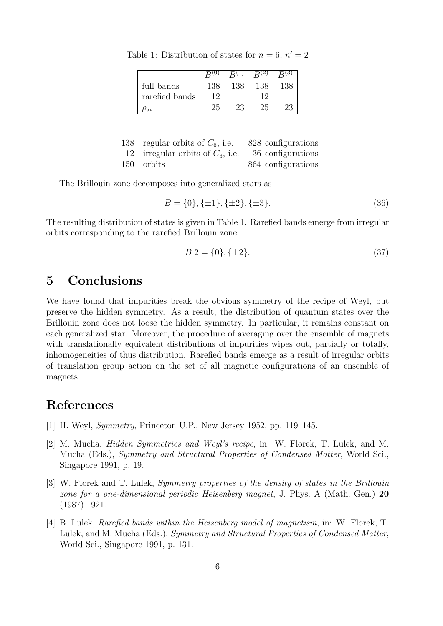|                |     | $R^{(1)}$ | R(2) | R(3) |
|----------------|-----|-----------|------|------|
| full bands     | 138 | 138       | 138  | 138  |
| rarefied bands | 19  |           | 19   |      |
| 'av            | 25  | 23        | 25   | 23   |

Table 1: Distribution of states for  $n = 6$ ,  $n' = 2$ 

| 138 regular orbits of $C_6$ , i.e.                    | 828 configurations |
|-------------------------------------------------------|--------------------|
| 12 irregular orbits of $C_6$ , i.e. 36 configurations |                    |
| 150 orbits                                            | 864 configurations |

The Brillouin zone decomposes into generalized stars as

$$
B = \{0\}, \{\pm 1\}, \{\pm 2\}, \{\pm 3\}.\tag{36}
$$

The resulting distribution of states is given in Table 1. Rarefied bands emerge from irregular orbits corresponding to the rarefied Brillouin zone

$$
B|2 = \{0\}, \{\pm 2\}.\tag{37}
$$

### 5 Conclusions

We have found that impurities break the obvious symmetry of the recipe of Weyl, but preserve the hidden symmetry. As a result, the distribution of quantum states over the Brillouin zone does not loose the hidden symmetry. In particular, it remains constant on each generalized star. Moreover, the procedure of averaging over the ensemble of magnets with translationally equivalent distributions of impurities wipes out, partially or totally, inhomogeneities of thus distribution. Rarefied bands emerge as a result of irregular orbits of translation group action on the set of all magnetic configurations of an ensemble of magnets.

## References

- [1] H. Weyl, Symmetry, Princeton U.P., New Jersey 1952, pp. 119–145.
- [2] M. Mucha, Hidden Symmetries and Weyl's recipe, in: W. Florek, T. Lulek, and M. Mucha (Eds.), Symmetry and Structural Properties of Condensed Matter, World Sci., Singapore 1991, p. 19.
- [3] W. Florek and T. Lulek, Symmetry properties of the density of states in the Brillouin zone for a one-dimensional periodic Heisenberg magnet, J. Phys. A (Math. Gen.) 20 (1987) 1921.
- [4] B. Lulek, Rarefied bands within the Heisenberg model of magnetism, in: W. Florek, T. Lulek, and M. Mucha (Eds.), Symmetry and Structural Properties of Condensed Matter, World Sci., Singapore 1991, p. 131.